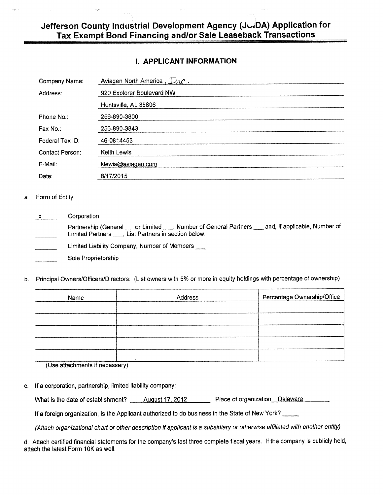#### **Jefferson County Industrial Development Agency (Jk..iDA) Application for Tax Exempt Bond Financing and/or Sale Leaseback Transactions**

#### **I. APPLICANT INFORMATION**

| Company Name:   | Aviagen North America, Ilvc. |
|-----------------|------------------------------|
| Address:        | 920 Explorer Boulevard NW    |
|                 | Huntsville, AL 35806         |
| Phone No.:      | 256-890-3800                 |
| Fax No.:        | 256-890-3843                 |
| Federal Tax ID: | 46-0814453                   |
| Contact Person: | Keith Lewis                  |
| E-Mail:         | klewis@aviagen.com           |
| Date:           | 8/17/2015                    |

#### a. Form of Entity:

**Corporation**  $\mathsf{X}$ Partnership (General \_\_\_\_or Limited \_\_\_; Number of General Partners \_\_\_ and, if applicable, Number of Limited Partners <sub>...</sub>, List Partners in section below. Limited Liability Company, Number of Members Sole Proprietorship

b. Principal Owners/Officers/Directors: (List owners with 5% or more in equity holdings with percentage of ownership)

| Name | Address | Percentage Ownership/Office |
|------|---------|-----------------------------|
|      |         |                             |
|      |         |                             |
|      |         |                             |
|      |         |                             |
|      |         |                             |

(Use attachments if necessary)

c. If a corporation, partnership, limited liability company:

What is the date of establishment? August 17, 2012 Place of organization Delaware

If a foreign organization, is the Applicant authorized to do business in the State of New York?

(Attach organizational chart or other description if applicant is a subsidiary or otherwise affiliated with another entity)

d. Attach certified financial statements for the company's last three complete fiscal years. If the company is publicly held, attach the latest Form 10K as well.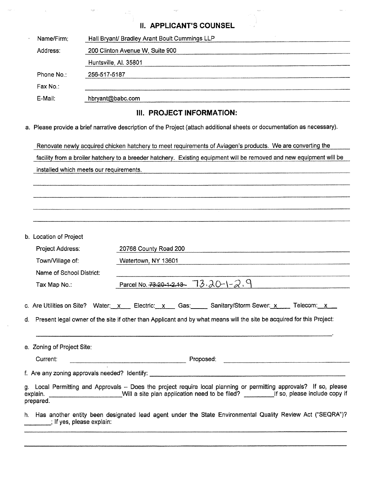#### **II. APPLICANT'S COUNSEL**

| Name/Firm: | Hall Bryant/ Bradley Arant Boult Cummings LLP |
|------------|-----------------------------------------------|
| Address:   | 200 Clinton Avenue W, Suite 900               |
|            | Huntsville, Al. 35801                         |
| Phone No.: | 256-517-5187                                  |
| Fax No.:   |                                               |
| E-Mail:    | hbryant@babc.com                              |
|            |                                               |

## **III. PROJECT INFORMATION:**

a. Please provide a brief narrative description of the Project (attach additional sheets or documentation as necessary).

Renovate newly acquired chicken hatchery to meet requirements of Aviagen's products. We are converting the facility from a broiler hatchery to a breeder hatchery. Existing equipment will be removed and new equipment will be installed which meets our requirements.

b. Location of Project

| <b>D. LUUQUUI UI FIUICUL</b> |                                                                                                                                                                                                                                                |
|------------------------------|------------------------------------------------------------------------------------------------------------------------------------------------------------------------------------------------------------------------------------------------|
| Project Address:             | 20768 County Road 200                                                                                                                                                                                                                          |
| Town/Village of:             | Watertown, NY 13601                                                                                                                                                                                                                            |
| Name of School District:     |                                                                                                                                                                                                                                                |
| Tax Map No.:                 | Parcel No. <del>73.20-1-2.13</del> 73. 20-1-2. 9                                                                                                                                                                                               |
|                              | c. Are Utilities on Site? Water: x Electric: x Gas: Sanitary/Storm Sewer: x Felecom: x<br>d. Present legal owner of the site if other than Applicant and by what means will the site be acquired for this Project:                             |
| e. Zoning of Project Site:   |                                                                                                                                                                                                                                                |
| Current:                     | Proposed:                                                                                                                                                                                                                                      |
|                              |                                                                                                                                                                                                                                                |
| prepared.                    | g. Local Permitting and Approvals - Does the project require local planning or permitting approvals? If so, please<br>explain. _________________________Will a site plan application need to be filed? __________If so, please include copy if |
| if yes, please explain:      | h. Has another entity been designated lead agent under the State Environmental Quality Review Act ("SEQRA")?                                                                                                                                   |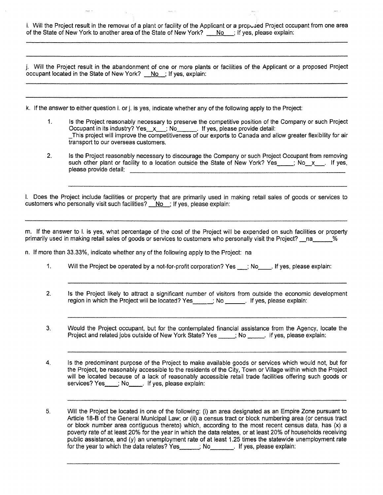i. Will the Project result in the removal of a plant or facility of the Applicant or a propused Project occupant from one area of the State of New York to another area of the State of New York? No ; If yes, please explain:

j. Will the Project result in the abandonment of one or more plants or facilities of the Applicant or a proposed Project occupant located in the State of New York? No ; If yes, explain:

k. If the answer to either question i. or j. is yes, indicate whether any of the following apply to the Project:

- 1. Is the Project reasonably necessary to preserve the competitive position of the Company or such Project Occupant in its industry? Yes  $x$  ; No  $\blacksquare$  If yes, please provide detail: This project will improve the competitiveness of our exports to Canada and allow greater flexibility for air transport to our overseas customers.
- 2, Is the Project reasonably necessary to discourage the Company or such Project Occupant from removing such other plant or facility to a location outside the State of New York? Yes  $\ldots$ ; No\_x  $\ldots$  If yes, please provide detail:

I. Does the Project include facilities or property that are primarily used in making retail sales of goods or services to customers who personally visit such facilities?  $No$  ; If yes, please explain:

m. If the answer to I. is yes, what percentage of the cost of the Project will be expended on such facilities or property primarily used in making retail sales of goods or services to customers who personally visit the Project? na

n. If more than 33.33%, indicate whether any of the following apply to the Project: na

- 1. Will the Project be operated by a not-for-profit corporation? Yes \_\_; No\_\_\_. If yes, please explain:
- $2<sub>1</sub>$ Is the Project likely to attract a significant number of visitors from outside the economic development region in which the Project will be located? Yes \_\_\_\_\_; No \_\_\_\_\_. If yes, please explain:
- 3. Would the Project occupant, but for the contemplated financial assistance from the Agency, locate the Project and related jobs outside of New York State? Yes \_\_\_\_\_; No \_\_\_\_\_. If yes, please explain:
- 4. Is the predominant purpose of the Project to make available goods or services which would not, but for the Project, be reasonably accessible to the residents of the City, Town or Village within which the Project will be located because of a lack of reasonably accessible retail trade facilities offering such goods or services? Yes \_\_\_; No \_\_\_\_. If yes, please explain:
- 5. Will the Project be located in one of the following: (i) an area designated as an Empire Zone pursuant to Article 18-B of the General Municipal Law; or (ii) a census tract or block numbering area (or census tract or block number area contiguous thereto) which, according to the most recent census data, has (x) a poverty rate of at least 20% for the year in which the data relates, or at least 20% of households receiving public assistance, and (y) an unemployment rate of at least 1.25 times the statewide unemployment rate for the year to which the data relates? Yes ; No . If yes, please explain: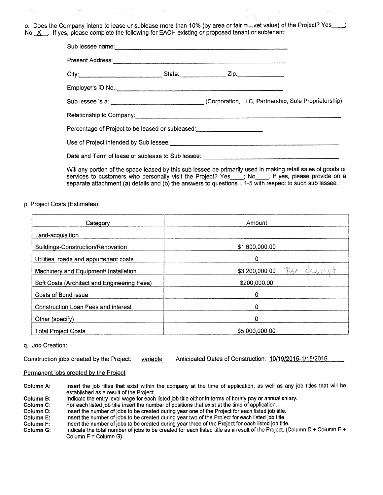o. Does the Company intend to lease or sublease more than 10% (by area or fair maket value) of the Project? Yes\_ No X If yes, please complete the following for EACH existing or proposed tenant or subtenant:

| Sub lessee name: example and the set of the set of the set of the set of the set of the set of the set of the set of the set of the set of the set of the set of the set of the set of the set of the set of the set of the se |                                                                                                                                                                                                                                    |  |
|--------------------------------------------------------------------------------------------------------------------------------------------------------------------------------------------------------------------------------|------------------------------------------------------------------------------------------------------------------------------------------------------------------------------------------------------------------------------------|--|
|                                                                                                                                                                                                                                | Present Address: <u>Communications</u> of the Address of Address and Address of the Address of the Address of the Address of the Address of the Address of the Address of the Address of the Address of the Address of the Address |  |
|                                                                                                                                                                                                                                |                                                                                                                                                                                                                                    |  |
|                                                                                                                                                                                                                                |                                                                                                                                                                                                                                    |  |
|                                                                                                                                                                                                                                |                                                                                                                                                                                                                                    |  |
|                                                                                                                                                                                                                                | Relationship to Company:                                                                                                                                                                                                           |  |
| Percentage of Project to be leased or subleased: _______________________________                                                                                                                                               |                                                                                                                                                                                                                                    |  |
|                                                                                                                                                                                                                                | Use of Project intended by Sub lessee:<br><u> Use of Project intended by Sub lessee</u> :                                                                                                                                          |  |
|                                                                                                                                                                                                                                |                                                                                                                                                                                                                                    |  |
|                                                                                                                                                                                                                                |                                                                                                                                                                                                                                    |  |

Will any portion of the space leased by this sub lessee be primarily used in making retail sales of goods or services to customers who personally visit the Project? Yes \_\_\_; No\_\_\_\_. If yes, please provide on a separate attachment (a) details and (b) the answers to questions I. 1-5 with respect to such sub lessee.

p. Project Costs (Estimates):

| Category                                    | Amount                       |
|---------------------------------------------|------------------------------|
| Land-acquisition                            |                              |
| Buildings-Construction/Renovation           | \$1,600,000.00               |
| Utilities, roads and appurtenant costs      | 0                            |
| Machinery and Equipment/ Installation       | Tax Scenat<br>\$3,200,000.00 |
| Soft Costs (Architect and Engineering Fees) | \$200,000.00                 |
| Costs of Bond issue                         | ٥                            |
| Construction Loan Fees and interest         | ۵                            |
| Other (specify)                             | 0                            |
| <b>Total Project Costs</b>                  | \$5,000,000.00               |

#### q. Job Creation:

Construction jobs created by the Project: variable Anticipated Dates of Construction: 10/19/2015-1/15/2016

#### Permanent jobs created by the Project

Column A: Insert the job titles that exist within the.company at the time of application, as well as any job titles that will be established as a result of the Project.

Column B: Indicate the entry level wage for each listed job title either in terms of hourly pay or annual salary.<br>Column C: For each listed job title insert the number of positions that exist at the time of application.

For each listed job title insert the number of positions that exist at the time of application.

Column D: Insert the number of jobs to be created during year one of the Project for each listed job title.<br>Column E: Insert the number of jobs to be created during year two of the Project for each listed job title.

Column E: Insert the number of jobs to be created during year two of the Project for each listed job title.<br>Column F: Insert the number of jobs to be created during year three of the Project for each listed job title

Column F: Insert the number of jobs to be created during year three of the Project for each listed job title.<br>Column G: Indicate the total number of jobs to be created for each listed title as a result of the Project. (C

Indicate the total number of jobs to be created for each listed title as a result of the Project. (Column D + Column E + Column F = Column G)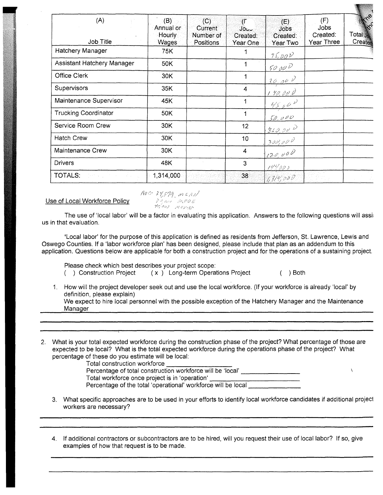| (A)<br>Job Title                                      | (B)<br>Annual or<br>Hourly<br>Wages | (C)<br>Current<br>Number of<br><b>Positions</b> | $(\Gamma$<br>ປ໐ບບ<br>Created:<br>Year One | (E)<br><b>Jobs</b><br>Created:<br>Year Two | (F)<br>Jobs<br>Created:<br>Year Three | $\mathscr{S}_{\!\!\mathscr{C}}$<br>Total J <sub>os</sub><br>Created |
|-------------------------------------------------------|-------------------------------------|-------------------------------------------------|-------------------------------------------|--------------------------------------------|---------------------------------------|---------------------------------------------------------------------|
| Hatchery Manager                                      | 75K                                 |                                                 |                                           | $75,00\nu$                                 |                                       |                                                                     |
| Assistant Hatchery Manager                            | 50K                                 |                                                 |                                           | 50000                                      |                                       |                                                                     |
| <b>Office Clerk</b>                                   | 30K                                 |                                                 |                                           | 30.00V                                     |                                       |                                                                     |
| <b>Supervisors</b>                                    | 35K                                 |                                                 | 4                                         | 1, 90, 000                                 |                                       |                                                                     |
| Maintenance Supervisor                                | 45K                                 |                                                 |                                           | 4500                                       |                                       |                                                                     |
| <b>Trucking Coordinator</b>                           | 50K                                 |                                                 |                                           | 50,000                                     |                                       |                                                                     |
| Service Room Crew                                     | 30K                                 |                                                 | 12                                        | 360.000                                    |                                       |                                                                     |
| <b>Hatch Crew</b>                                     | 30K                                 |                                                 | 10 <sub>1</sub>                           | 300,000                                    |                                       |                                                                     |
| Maintenance Crew                                      | 30K                                 |                                                 | 4                                         | 120,000                                    |                                       |                                                                     |
| <b>Drivers</b>                                        | 48K                                 |                                                 | 3                                         | 192000                                     |                                       |                                                                     |
| <b>TOTALS:</b><br><b>START AND PROVIDENT AND INC.</b> | 1,314,000                           |                                                 | 38                                        | $\{1,31\}$ 000                             |                                       |                                                                     |

Use of Local Workforce Policy<br> *Volenting Policy* 

 $A$ UC 34,579, MEAN

The use of 'local labor' will be a factor in evaluating this application. Answers to the following questions will assit us in that evaluation.

'Local labor' for the purpose of this application is defined as residents from Jefferson, St. Lawrence, Lewis and Oswego Counties. If a 'labor workforce plan' has been designed, please include that plan as an addendum to this application. Questions below are applicable for both a construction project and for the operations of a sustaining project.

Please check which best describes your project scope:

( ) Construction Project ( x ) Long-term Operations Project ( ) Both

 $\lambda$ 

1. How will the project developer seek out and use the local workforce. (If your workforce is already 'local' by definition, please explain) We expect to hire local personnel with the possible exception of the Hatchery Manager and the Maintenance

Manager

2. What is your total expected workforce during the construction phase of the project? What percentage of those are expected to be local? What is the total expected workforce during the operations phase of the project? What percentage of these do you estimate will be local:

Total construction workforce

- Percentage of total construction workforce will be 'local' Total workforce once project is in 'operation' Percentage of the total 'operational' workforce will be local
- 3. What specific approaches are to be used in your efforts to identify local workforce candidates if additional project workers are necessary?
- 4. If additional contractors or subcontractors are to be hired, will you request their use of local labor? If so, give examples of how that request is to be made.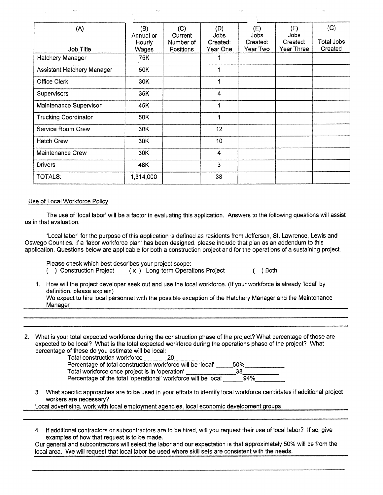| (A)                         | (B)<br>Annual or | (C)<br>Current         | (D)<br>Jobs          | (E)<br>Jobs          | (F)<br>Jobs            | (G)                          |
|-----------------------------|------------------|------------------------|----------------------|----------------------|------------------------|------------------------------|
| Job Title                   | Hourly<br>Wages  | Number of<br>Positions | Created:<br>Year One | Created:<br>Year Two | Created:<br>Year Three | <b>Total Jobs</b><br>Created |
| Hatchery Manager            | 75K              |                        |                      |                      |                        |                              |
| Assistant Hatchery Manager  | 50K              |                        | 1                    |                      |                        |                              |
| <b>Office Clerk</b>         | 30K              |                        |                      |                      |                        |                              |
| Supervisors                 | 35K              |                        | 4                    |                      |                        |                              |
| Maintenance Supervisor      | 45K              |                        | 1                    |                      |                        |                              |
| <b>Trucking Coordinator</b> | 50K              |                        | 1                    |                      |                        |                              |
| Service Room Crew           | 30K              |                        | 12                   |                      |                        |                              |
| <b>Hatch Crew</b>           | 30K              |                        | 10                   |                      |                        |                              |
| Maintenance Crew            | 30K              |                        | 4                    |                      |                        |                              |
| <b>Drivers</b>              | 48K              |                        | 3                    |                      |                        |                              |
| <b>TOTALS:</b>              | 1,314,000        |                        | 38                   |                      |                        |                              |

#### Use of Local Workforce Policy

The use of 'local labor' will be a factor in evaluating this application. Answers to the following questions will assist us in that evaluation.

'Local labor' for the purpose of this application is defined as residents from Jefferson, St. Lawrence, Lewis and Oswego Counties. If a 'labor workforce plan' has been designed, please include that plan as an addendum to this application. Questions below are applicable for both a construction project and for the operations of a sustaining project.

Please check which best describes your project scope:

( ) Construction Project ( x ) Long-term Operations Project ( ) Both

- 1. How will the project developer seek out and use the local workforce. (If your workforce is already 'local' by definition, please explain) We expect to hire local personnel with the possible exception of the Hatchery Manager and the Maintenance Manager
- 2. What is your total expected workforce during the construction phase of the project? What percentage of those are expected to be local? What is the total expected workforce during the operations phase of the project? What percentage of these do you estimate will be local:

Total construction workforce Percentage of total construction workforce will be 'local' 50% Total workforce once project is in 'operation' **1990**<br>Percentage of the total 'operational' workforce will be local **94%** Percentage of the total 'operational' workforce will be local

3. What specific approaches are to be used in your efforts to identify local workforce candidates if additional project workers are necessary?

Local advertising, work with local employment agencies, local economic development groups

4. If additional contractors or subcontractors are to be hired, will you request their use of local labor? If so, give examples of how that request is to be made.

Our general and subcontractors will select the labor and our expectation is that approximately 50% will be from the local area. We will request that local labor be used where skill sets are consistent with the needs.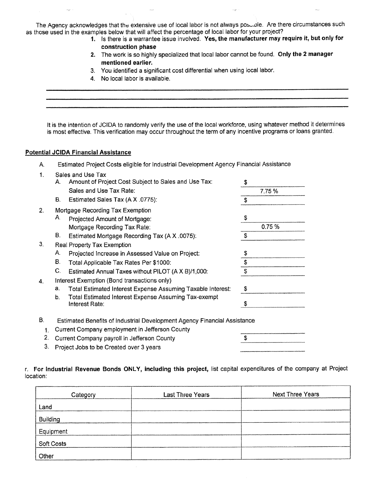The Agency acknowledges that the extensive use of local labor is not always pose ole. Are there circumstances such as those used in the examples below that will affect the percentage of local labor for your project?

- 1. Is there is a warrantee issue involved. **Yes, the manufacturer may require it, but only for construction phase**
- 2. The work is so highly specialized that local labor cannot be found. **Only the 2 manager mentioned earlier.**
- 3. You identified a significant cost differential when using local labor.
- **4. No** local labor is available.

It is the intention of JCIDA to randomly verify the use of the local workforce, using whatever method it determines is most effective. This verification may occur throughout the term of any incentive programs or loans granted.

#### **Potential JCIDA Financial Assistance**

|  |  | Estimated Project Costs eligible for Industrial Development Agency Financial Assistance |  |  |  |  |  |
|--|--|-----------------------------------------------------------------------------------------|--|--|--|--|--|
|--|--|-----------------------------------------------------------------------------------------|--|--|--|--|--|

| 1.       |    | Sales and Use Tax                                                                                                          |        |  |
|----------|----|----------------------------------------------------------------------------------------------------------------------------|--------|--|
|          | Α. | Amount of Project Cost Subject to Sales and Use Tax:                                                                       | \$     |  |
|          |    | Sales and Use Tax Rate:                                                                                                    | 7.75 % |  |
|          | В. | Estimated Sales Tax (A X .0775):                                                                                           | \$     |  |
| 2.       |    | Mortgage Recording Tax Exemption                                                                                           |        |  |
|          | Α. | Projected Amount of Mortgage:                                                                                              | \$     |  |
|          |    | Mortgage Recording Tax Rate:                                                                                               | 0.75%  |  |
|          | В. | Estimated Mortgage Recording Tax (A X .0075):                                                                              | \$     |  |
| 3.       |    | Real Property Tax Exemption                                                                                                |        |  |
|          | Α. | Projected Increase in Assessed Value on Project:                                                                           | \$     |  |
|          | В. | Total Applicable Tax Rates Per \$1000:                                                                                     | \$     |  |
|          | C. | Estimated Annual Taxes without PILOT (A X B)/1,000:                                                                        | \$     |  |
| 4.       |    | Interest Exemption (Bond transactions only)                                                                                |        |  |
|          | а. | Total Estimated Interest Expense Assuming Taxable Interest:                                                                | \$     |  |
|          | b. | Total Estimated Interest Expense Assuming Tax-exempt<br>Interest Rate:                                                     | \$     |  |
| В.<br>1. |    | Estimated Benefits of Industrial Development Agency Financial Assistance<br>Current Company employment in Jefferson County |        |  |

- 2. Current Company payroll in Jefferson County
- 3. Project Jobs to be Created over 3 years

r. **For Industrial Revenue Bonds ONLY, including this project,** list capital expenditures of the company at Project location:

\$

| Category          | <b>Last Three Years</b> | Next Three Years |
|-------------------|-------------------------|------------------|
| Land              |                         |                  |
| <b>Building</b>   |                         |                  |
| Equipment         |                         |                  |
| <b>Soft Costs</b> |                         |                  |
| Other             |                         |                  |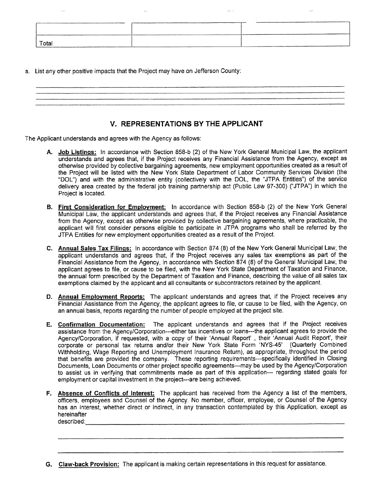|       | VOLUME ANNUARING ERA DEL PERSONALISME DE GRUPPER FRANCIA EN COMMUNICATION DE L'ANNUARING ERA<br>------ |
|-------|--------------------------------------------------------------------------------------------------------|
|       |                                                                                                        |
|       |                                                                                                        |
|       |                                                                                                        |
| Total |                                                                                                        |

s. List any other positive impacts that the Project may have on Jefferson County:

| And the company of the company of the company of the company of the company of the company of the company of the |
|------------------------------------------------------------------------------------------------------------------|
|                                                                                                                  |
| --------                                                                                                         |
|                                                                                                                  |

#### **V. REPRESENTATIONS BY THE APPLICANT**

The Applicant understands and agrees with the Agency as follows:

- **A. Job Listings:** In accordance with Section 858-b (2) of the New York General Municipal Law, the applicant understands and agrees that, if the Project receives any Financial Assistance from the Agency, except as otherwise provided by collective bargaining agreements, new employment opportunities created as a result of the Project will be listed with the New York State Department of Labor Community Services Division (the "DOL") and with the administrative entity (collectively with the DOL, the "JTPA Entities") of the service delivery area created by the federal job training partnership act (Public Law 97-300) ("JTPA") in which the Project is located.
- **B. First Consideration for Employment:** In accordance with Section 858-b (2) of the New York General Municipal Law, the applicant understands and agrees that, if the Project receives any Financial Assistance from the Agency, except as otherwise provided by collective bargaining agreements, where practicable, the applicant will first consider persons eligible to participate in JTPA programs who shall be referred by the JTPA Entities for new employment opportunities created as a result of the Project.
- **C. Annual Sales Tax Filings:** In accordance with Section 874 (8) of the New York General Municipal Law, the applicant understands and agrees that, if the Project receives any sales tax exemptions as part of the Financial Assistance from the Agency, in accordance with Section 874 (8) of the General Municipal Law, the applicant agrees to file, or cause to be filed, with the New York State Department of Taxation and Finance, the annual form prescribed by the Department of Taxation and Finance, describing the value of all sales tax exemptions claimed by the applicant and all consultants or subcontractors retained by the applicant.
- **D. Annual Employment Reports:** The applicant understands and agrees that, if the Project receives any Financial Assistance from the Agency, the applicant agrees to file, or cause to be filed, with the Agency, on an annual basis, reports regarding the number of people employed at the project site.
- **E. Confirmation Documentation:** The applicant understands and agrees that if the Project receives assistance from the Agency/Corporation---either tax incentives or loans---the applicant agrees to provide the Agency/Corporation, if requested, with a copy of their 'Annual Report' , their 'Annual Audit Report', their corporate or personal tax returns and/or their New York State Form 'NYS-45' (Quarterly Combined Withholding, Wage Reporting and Unemployment Insurance Return), as appropriate, throughout the period that benefits are provided the company. These reporting requirements---specifically identified in Closing Documents, Loan Documents or other project specific agreements---may be used by the Agency/Corporation to assist us in verifying that commitments made as part of this application--- regarding stated goals for employment or capital investment in the project---are being achieved.
- **F. Absence of Conflicts of Interest:** The applicant has received from the Agency a list of the members, officers, employees and Counsel of the Agency. No member, officer, employee, or Counsel of the Agency has an interest, whether direct or indirect, in any transaction contemplated by this Application, except as hereinafter described:

**G. Claw-back Provision:** The applicant is making certain representations in this request for assistance.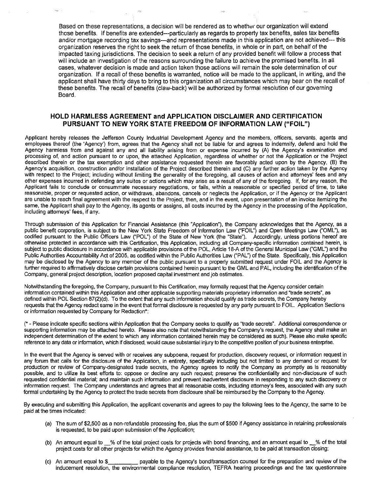Based on these representations, a decision will be rendered as to whether our organization will extend those benefits. If benefits are extended--particularly as regards to property tax benefits, sales tax benefits and/or mortgage recording tax savings--and representations made in this application are not achieved--- this organization reserves the right to seek the return of those benefits, in whole or in part, on behalf of the impacted taxing jurisdictions. The decision to seek a return of any provided benefit will follow a process that will include an investigation of the reasons surrounding the failure to achieve the promised benefits. In all cases, whatever decision is made and action taken those actions will remain the sole determination of our organization. If a recall of these benefits is warranted, notice will be made to the applicant, in writing, and the applicant shall have thirty days to bring to this organization all circumstances which may bear on the recall of these benefits. The recall of benefits (claw-back) will be authorized by formal resolution of our governing Board.

#### **HOLD HARMLESS AGREEMENT and APPLICATION DISCLAIMER AND CERTIFICATION PURSUANT TO NEW YORK STATE FREEDOM OF INFORMATION LAW ("FOIL")**

Applicant hereby releases the Jefferson County Industrial Development Agency and the members, officers, servants, agents and employees thereof (the 'Agency') from, agrees that the Agency shall not be liable for and agrees to indemnify, defend and hold the Agency harmless from and against any and all liability arising from or expense incurred by (A) the Agency's examination and processing of, and action pursuant to or upon, the attached Application, regardless of whether or not the Application or the Project described therein or the tax exemption and other assistance requested therein are favorably acted upon by the Agency, (B) the Agency's acquisition, construction and/or installation of the Project described therein and (C) any further action taken by the Agency with respect to the Project; including without limiting the generality of the foregoing, all causes of action and attorneys' fees and any other expenses incurred in defending any suites or actions which may arise as a result of any of the foregoing. If, for any reason, the Applicant fails to conclude or consummate necessary negotiations, or fails, within a reasonable or specified period of time, to take reasonable, proper or requested action, or withdraws, abandons, cancels or neglects the Application, or if the Agency or the Applicant are unable to reach final agreement with the respect to the Project, then, and in the event, upon presentation of an invoice itemizing the same, the Applicant shall pay to the Agency, its agents or assigns, all costs incurred by the Agency in the processing of the Application, including attorneys' fees, if any.

Through submission of this Application for Financial Assistance (this "Application"), the Company acknowledges that the Agency, as a public benefit corporation, is subject to the New York State Freedom of Information Law ("FOIL") and Open Meetings Law ("OML"), as codified pursuant to the Public Officers Law ("POL") of the State of New York (the "State"). Accordingly, unless portions hereof are otherwise protected in accordance with this Certification, this Application, including all Company-specific information contained herein, is subject to public disclosure in accordance with applicable provisions of the POL, Article 18-A of the General Municipal Law ('GML") and the Public Authorities Accountability Act of 2005, as codified within the Public Authorities Law ("PAL") of the State. Specifically, this Application may be disclosed by the Agency to any member of the public pursuant to a properly submitted request under FOIL and the Agency is further required to affirmatively disclose certain provisions contained herein pursuant to the GML and PAL, including the identification of the Company, general project description, location proposed capital investment and job estimates.

Notwithstanding the foregoing, the Company, pursuant to this Certification, may formally request that the Agency consider certain information contained within this Application and other applicable supporting materials proprietary information and "trade secrets", as defined within POL Section 87(2)(d). To the extent that any such information should qualify as trade secrets, the Company hereby requests that the Agency redact same in the event that formal disclosure is requested by any party pursuant to FOIL Application Sections or information requested by Company for Redaction\*:

(\* - Please indicate specific sections within Application that the Company seeks to qualify as "trade secrets". Additional correspondence or supporting information may be attached hereto. Please also note that notwithstanding the Company's request, the Agency shall make an independent determination of the extent to which any information contained herein may be considered as such). Please also make specific reference to any data or information, which if disclosed, would cause substantial injury to the competitive position of your business enterprise.

In the event that the Agency is served with or receives any subpoena, request for production, discovery request, or information request in any forum that calls for the disclosure of the Application, in entirety, specifically including but not limited to any demand or request for production or review of Company-designated trade secrets, the Agency agrees to notify the Company as promptly as is reasonably possible, and to utilize its best efforts to: oppose or decline any such request; preserve the confidentiality and non-disclosure of such requested confidential material; and maintain such information and prevent inadvertent disclosure in responding to any such discovery or information request. The Company understands and agrees that all reasonable costs, including attorney's fees, associated with any such formal undertaking by the Agency to protect the trade secrets from disclosure shall be reimbursed by the Company to the Agency.

By executing and submitting this Application, the applicant covenants and agrees to pay the following fees to the Agency, the same to be paid at the times indicated:

- (a) The sum of \$2,500 as a non-refundable processing fee, plus the sum of \$500 if Agency assistance in retaining professionals is requested, to be paid upon submission of the Application;
- (b) An amount equal to  $%$  of the total project costs for projects with bond financing, and an amount equal to  $%$  of the total project costs for all other projects for which the Agency provides financial assistance, to be paid at transaction closing;
- (c) An amount equal to \$\_\_\_\_\_\_\_\_\_\_\_\_ payable to the Agency's bond/transaction counsel for the preparation and review of the inducement resolution, the environmental compliance resolution, TEFRA hearing proceedings and the tax questionnaire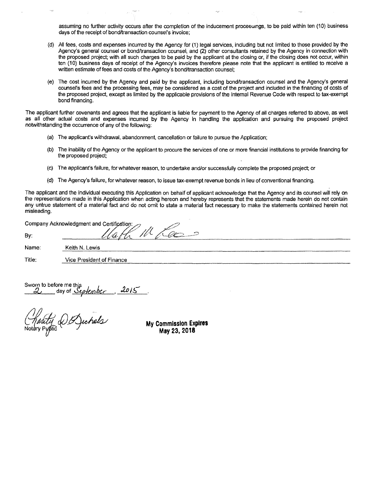assuming no further activity occurs after the completion of the inducement proceeuings, to be paid within ten (10) business days of the receipt of bond/transaction counsel's invoice;

- (d) All fees, costs and expenses incurred by the Agency for (1) legal services, including but not limited to those provided by the Agency's general counsel or bond/transaction counsel, and (2) other consultants retained by the Agency in connection with the proposed project; with all such charges to be paid by the applicant at the closing or, if the closing does not occur, within ten (10) business days of receipt of the Agency's invoices therefore please note that the applicant is entitled to receive a written estimate of fees and costs of the Agency's bond/transaction counsel;
- (e) The cost incurred by the Agency and paid by the applicant, including bond/transaction counsel and the Agency's general counsel's fees and the processing fees, may be considered as a cost of the project and included in the financing of costs of the proposed project, except as limited by the applicable provisions of the Internal Revenue Code with respect to tax-exempt bond financing.

The applicant further covenants and agrees that the applicant is liable for payment to the Agency of all charges referred to above, as well as all other actual costs and expenses incurred by the Agency in handling the application and pursuing the proposed project notwithstanding the occurrence of any of the following:

- (a) The applicant's withdrawal, abandonment, cancellation or failure to pursue the Application;
- (b) The inability of the Agency or the applicant to procure the services of one or more financial institutions to provide financing for the proposed project;
- (c) The applicant's failure, for whatever reason, to undertake and/or successfully complete the proposed project; or
- (d) The Agency's failure, for whatever reason, to issue tax-exempt revenue bonds in lieu of conventional financing.

The applicant and the individual executing this Application on behalf of applicant acknowledge that the Agency and its counsel will rely on the representations made in this Application when acting hereon and hereby represents that the statements made herein do not contain any untrue statement of a material fact and do not omit to state a material fact necessary to make the statements contained herein not misleading.

|        | Company Acknowledgment and Certification: |
|--------|-------------------------------------------|
| By:    | <b>Contract Service</b>                   |
| Name:  | Keith N. Lewis                            |
| Title: | Vice President of Finance                 |
|        |                                           |

Sworn to before me this day of *September*, 2015.

**My Commission Expires May 23, 2018**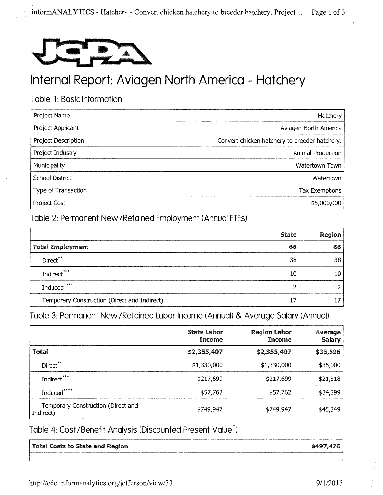

# Internal Report: Aviagen North America - Hatchery

## Table 1: Basic Information

| Project Name           | Hatchery                                      |
|------------------------|-----------------------------------------------|
| Project Applicant      | Aviagen North America                         |
| Project Description    | Convert chicken hatchery to breeder hatchery. |
| Project Industry       | Animal Production                             |
| Municipality           | Watertown Town                                |
| <b>School District</b> | Watertown                                     |
| Type of Transaction    | <b>Tax Exemptions</b>                         |
| Project Cost           | \$5,000,000                                   |

Table 2: Permanent New /Retained Employment (Annual FTEs)

|                                              | <b>State</b> | Region |
|----------------------------------------------|--------------|--------|
| <b>Total Employment</b>                      | 66           | 66     |
| Direct**                                     | 38           | 38     |
| Indirect***                                  | 10           | 10     |
| Induced*****                                 |              |        |
| Temporary Construction (Direct and Indirect) | 17           |        |

Table 3: Permanent New/Retained Labor Income (Annual) & Average Salary (Annual)

|                                                 | State Labor<br>Income | <b>Region Labor</b><br>Income | Average<br><b>Salary</b> |
|-------------------------------------------------|-----------------------|-------------------------------|--------------------------|
| Total                                           | \$2,355,407           | \$2,355,407                   | \$35,596                 |
| Direct**                                        | \$1,330,000           | \$1,330,000                   | \$35,000                 |
| Indirect***                                     | \$217,699             | \$217,699                     | \$21,818                 |
| Induced****                                     | \$57,762              | \$57,762                      | \$34,899                 |
| Temporary Construction (Direct and<br>Indirect) | \$749,947             | \$749,947                     | \$45,349                 |

Table 4: Cost/Benefit Analysis (Discounted Present Value\*)

| <b>Total Costs to State and Region</b> | \$497,476 |
|----------------------------------------|-----------|
|                                        |           |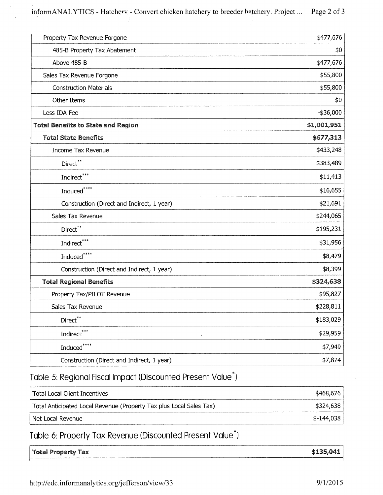informANALYTICS - Hatchery - Convert chicken hatchery to breeder hatchery. Project ... Page 2 of 3

| Property Tax Revenue Forgone                | \$477,676    |
|---------------------------------------------|--------------|
| 485-B Property Tax Abatement                | \$0          |
| Above 485-B                                 | \$477,676    |
| Sales Tax Revenue Forgone                   | \$55,800     |
| <b>Construction Materials</b>               | \$55,800     |
| Other Items                                 | \$0          |
| Less IDA Fee                                | $-$ \$36,000 |
| <b>Total Benefits to State and Region</b>   | \$1,001,951  |
| <b>Total State Benefits</b>                 | \$677,313    |
| <b>Income Tax Revenue</b>                   | \$433,248    |
| $Direct**$                                  | \$383,489    |
| Indirect***                                 | \$11,413     |
| Induced****                                 | \$16,655     |
| Construction (Direct and Indirect, 1 year)  | \$21,691     |
| Sales Tax Revenue                           | \$244,065    |
| Direct**                                    | \$195,231    |
| $\mathop{\mathsf{Indirect}}\nolimits^{***}$ | \$31,956     |
| Induced****                                 | \$8,479      |
| Construction (Direct and Indirect, 1 year)  | \$8,399      |
| <b>Total Regional Benefits</b>              | \$324,638    |
| Property Tax/PILOT Revenue                  | \$95,827     |
| Sales Tax Revenue                           | \$228,811    |
| Direct**                                    | \$183,029    |
| Indirect***<br>$\pmb{\ast}$                 | \$29,959     |
| Induced****                                 | \$7,949      |
| Construction (Direct and Indirect, 1 year)  | \$7,874      |

## Table 5: Regional Fiscal Impact (Discounted Present Value\*)

| Total Local Client Incentives                                       | \$468,676   |
|---------------------------------------------------------------------|-------------|
| Total Anticipated Local Revenue (Property Tax plus Local Sales Tax) | ا \$324.638 |
| l Net Local Revenue                                                 | \$-144,038∣ |

## Table 6: Property Tax Revenue (Discounted Present Value<sup>\*</sup>)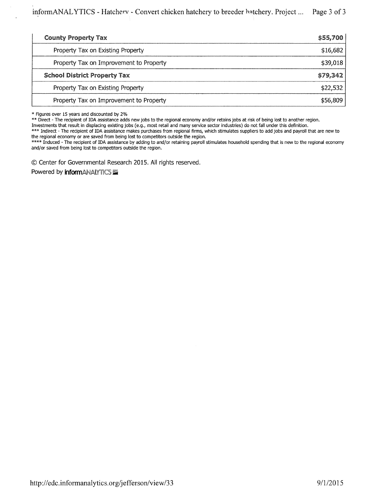| <b>County Property Tax</b>              | \$55,700 |
|-----------------------------------------|----------|
| Property Tax on Existing Property       | \$16,682 |
| Property Tax on Improvement to Property | \$39,018 |
| <b>School District Property Tax</b>     | \$79,342 |
| Property Tax on Existing Property       | \$22,532 |
| Property Tax on Improvement to Property | \$56,809 |

\* Figures over 15 years and discounted by 2%

\*\* Direct - The recipient of IDA assistance adds new jobs to the regional economy and/or retains jobs at risk of being lost to another region.

Investments that result in displacing existing jobs (e.g., most retail and many service sector industries) do not fall under this definition.

\*\*\* Indirect - The recipient of IDA assistance makes purchases from regional firms, which stimulates suppliers to add jobs and payroll that are new to the regional economy or are saved from being lost to competitors outside the region.

\*\*\*\* Induced - The recipient of IDA assistance by adding to and/or retaining payroll stimulates household spending that is new to the regional economy and/or saved from being lost to competitors outside the region.

C) Center for Governmental Research 2015. All rights reserved.

Powered by **informANALYTICS**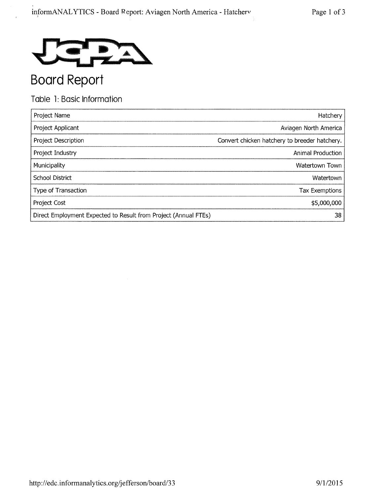

# Table 1: Basic Information

| Project Name                                                    | Hatchery                                      |
|-----------------------------------------------------------------|-----------------------------------------------|
| Project Applicant                                               | Aviagen North America                         |
| Project Description                                             | Convert chicken hatchery to breeder hatchery. |
| Project Industry                                                | Animal Production                             |
| Municipality                                                    | Watertown Town                                |
| School District                                                 | Watertown                                     |
| Type of Transaction                                             | <b>Tax Exemptions</b>                         |
| Project Cost                                                    | \$5,000,000                                   |
| Direct Employment Expected to Result from Project (Annual FTEs) | 38                                            |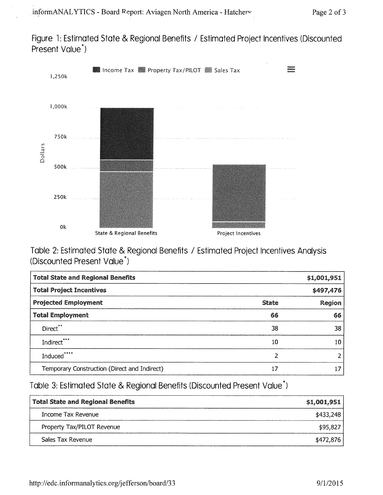Figure 1: Estimated State & Regional Benefits / Estimated Project Incentives (Discounted Present Value\*)



Table 2: Estimated State & Regional Benefits / Estimated Project Incentives Analysis (Discounted Present Value\*)

| <b>Total State and Regional Benefits</b>     |              | \$1,001,951 |
|----------------------------------------------|--------------|-------------|
| <b>Total Project Incentives</b>              |              | \$497,476   |
| <b>Projected Employment</b>                  | <b>State</b> | Region      |
| <b>Total Employment</b>                      | 66           | 66          |
| Direct**                                     | 38           | 38          |
| Indirect***                                  | 10           | 10          |
| Induced****                                  | 2            | 2           |
| Temporary Construction (Direct and Indirect) | 17           | 17          |

Table 3: Estimated State & Regional Benefits (Discounted Present Value\*)

| <b>Total State and Regional Benefits</b> | \$1,001,951 |
|------------------------------------------|-------------|
| Income Tax Revenue                       | \$433,248   |
| Property Tax/PILOT Revenue               | \$95,827    |
| Sales Tax Revenue                        | \$472,876   |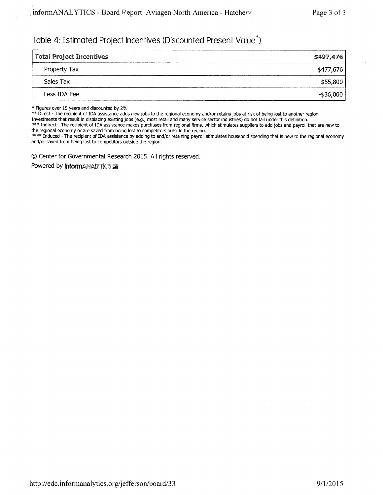## Table 4: Estimated Project Incentives (Discounted Present Value\*)

| <b>Total Project Incentives</b> | \$497,476  |
|---------------------------------|------------|
| Property Tax                    | \$477,676  |
| Sales Tax                       | \$55,800   |
| Less IDA Fee                    | $-$36,000$ |

\* Figures over 15 years and discounted by 2%

\*\* Direct - The recipient of IDA assistance adds new jobs to the regional economy and/or retains jobs at risk of being lost to another region.

Investments that result in displacing existing jobs (e.g., most retail and many service sector industries) do not fall under this definition.

\*\*\* Indirect - The recipient of IDA assistance makes purchases from regional firms, which stimulates suppliers to add jobs and payroll that are new to the regional economy or are saved from being lost to competitors outside the region.

\*\*\*\* Induced - The recipient of IDA assistance by adding to and/or retaining payroll stimulates household spending that is new to the regional economy and/or saved from being lost to competitors outside the region.

0 Center for Governmental Research 2015. All rights reserved.

Powered by **inform**ANALYTICS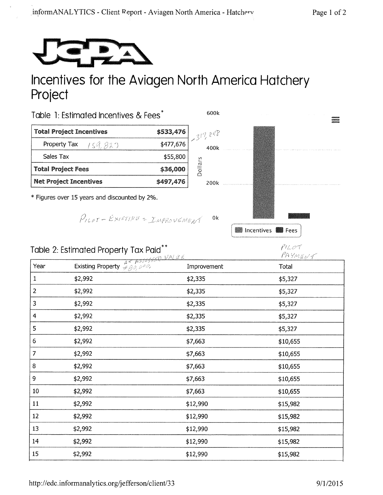

## Incentives for the Aviagen North America Hatchery Project



$$
f_{\rm{max}}
$$

fJ *Y* ,*t;* 

 $P1207$ 

**External Incentives Extending Fees** 

|                | Table 2: Estimated Property Tax Paid**                                                                                                                                                                | $f^{\prime}$ la Oʻ $t$<br>PAYMENT |          |
|----------------|-------------------------------------------------------------------------------------------------------------------------------------------------------------------------------------------------------|-----------------------------------|----------|
| Year           | Existing Property $\frac{A \leftarrow A \frac{B \left(\frac{B \left(\frac{B}{A} \right)}{C}\right)}{D \left(\frac{B}{A} \right)}}{D \left(\frac{B \left(\frac{B}{A} \right)}{D \right)} \frac{B}{D}}$ | Improvement                       | Total    |
| $\mathbf{1}$   | \$2,992                                                                                                                                                                                               | \$2,335                           | \$5,327  |
| $\overline{2}$ | \$2,992                                                                                                                                                                                               | \$2,335                           | \$5,327  |
| 3              | \$2,992                                                                                                                                                                                               | \$2,335                           | \$5,327  |
| 4              | \$2,992                                                                                                                                                                                               | \$2,335                           | \$5,327  |
| 5              | \$2,992                                                                                                                                                                                               | \$2,335                           | \$5,327  |
| 6              | \$2,992                                                                                                                                                                                               | \$7,663                           | \$10,655 |
| $\overline{7}$ | \$2,992                                                                                                                                                                                               | \$7,663                           | \$10,655 |
| 8              | \$2,992                                                                                                                                                                                               | \$7,663                           | \$10,655 |
| 9              | \$2,992                                                                                                                                                                                               | \$7,663                           | \$10,655 |
| 10             | \$2,992                                                                                                                                                                                               | \$7,663                           | \$10,655 |
| 11             | \$2,992                                                                                                                                                                                               | \$12,990                          | \$15,982 |
| 12             | \$2,992                                                                                                                                                                                               | \$12,990                          | \$15,982 |
| 13             | \$2,992                                                                                                                                                                                               | \$12,990                          | \$15,982 |
| 14             | \$2,992                                                                                                                                                                                               | \$12,990                          | \$15,982 |

15 \$2,992 \$12,990 \$15,982